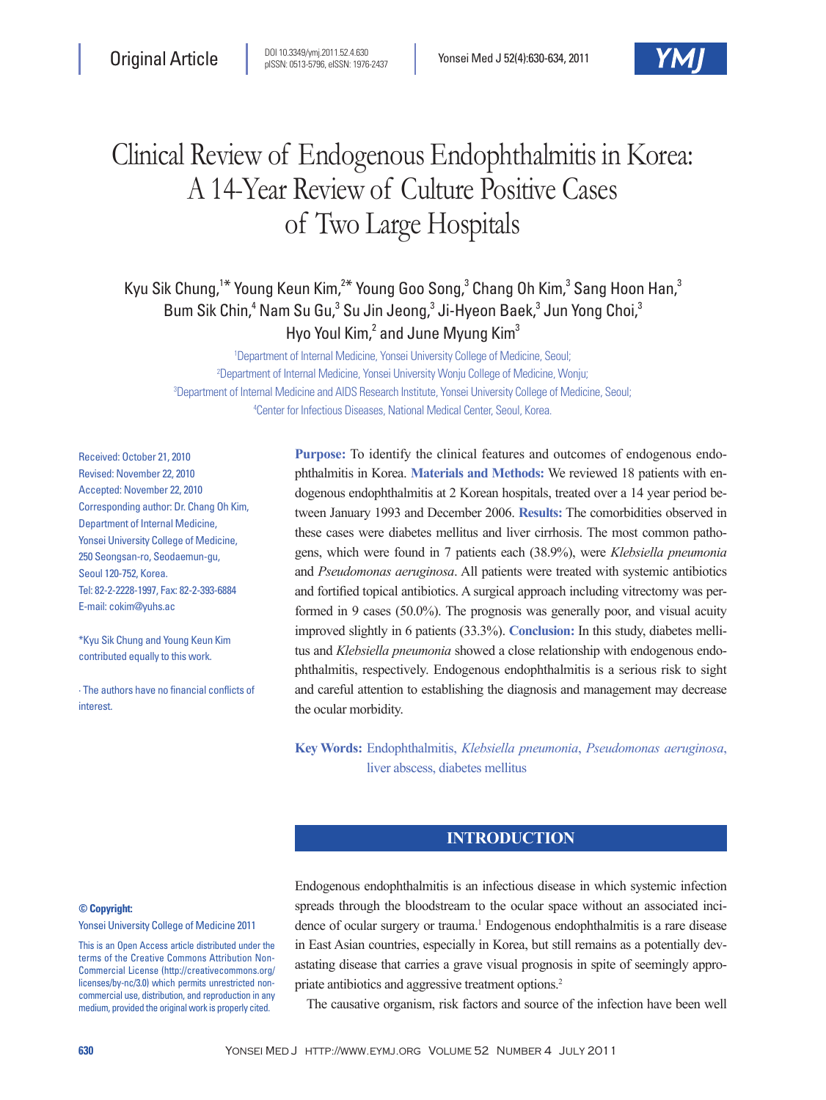

# Clinical Review of Endogenous Endophthalmitis in Korea: A 14-Year Review of Culture Positive Cases of Two Large Hospitals

Kyu Sik Chung,<sup>1\*</sup> Young Keun Kim,<sup>2\*</sup> Young Goo Song,<sup>3</sup> Chang Oh Kim,<sup>3</sup> Sang Hoon Han,<sup>3</sup> Bum Sik Chin,<sup>4</sup> Nam Su Gu,<sup>3</sup> Su Jin Jeong,<sup>3</sup> Ji-Hyeon Baek,<sup>3</sup> Jun Yong Choi,<sup>3</sup> Hyo Youl Kim,<sup>2</sup> and June Myung Kim<sup>3</sup>

 Department of Internal Medicine, Yonsei University College of Medicine, Seoul; Department of Internal Medicine, Yonsei University Wonju College of Medicine, Wonju; Department of Internal Medicine and AIDS Research Institute, Yonsei University College of Medicine, Seoul; Center for Infectious Diseases, National Medical Center, Seoul, Korea.

Received: October 21, 2010 Revised: November 22, 2010 Accepted: November 22, 2010 Corresponding author: Dr. Chang Oh Kim, Department of Internal Medicine, Yonsei University College of Medicine, 250 Seongsan-ro, Seodaemun-gu, Seoul 120-752, Korea. Tel: 82-2-2228-1997, Fax: 82-2-393-6884 E-mail: cokim@yuhs.ac

\*Kyu Sik Chung and Young Keun Kim contributed equally to this work.

∙ The authors have no financial conflicts of interest.

**Purpose:** To identify the clinical features and outcomes of endogenous endophthalmitis in Korea. **Materials and Methods:** We reviewed 18 patients with endogenous endophthalmitis at 2 Korean hospitals, treated over a 14 year period between January 1993 and December 2006. **Results:** The comorbidities observed in these cases were diabetes mellitus and liver cirrhosis. The most common pathogens, which were found in 7 patients each (38.9%), were *Klebsiella pneumonia*  and *Pseudomonas aeruginosa*. All patients were treated with systemic antibiotics and fortified topical antibiotics. A surgical approach including vitrectomy was performed in 9 cases (50.0%). The prognosis was generally poor, and visual acuity improved slightly in 6 patients (33.3%). **Conclusion:** In this study, diabetes mellitus and *Klebsiella pneumonia* showed a close relationship with endogenous endophthalmitis, respectively. Endogenous endophthalmitis is a serious risk to sight and careful attention to establishing the diagnosis and management may decrease the ocular morbidity.

**Key Words:** Endophthalmitis, *Klebsiella pneumonia*, *Pseudomonas aeruginosa*, liver abscess, diabetes mellitus

# **INTRODUCTION**

#### **© Copyright:**

Yonsei University College of Medicine 2011

This is an Open Access article distributed under the terms of the Creative Commons Attribution Non-Commercial License (http://creativecommons.org/ licenses/by-nc/3.0) which permits unrestricted noncommercial use, distribution, and reproduction in any medium, provided the original work is properly cited.

Endogenous endophthalmitis is an infectious disease in which systemic infection spreads through the bloodstream to the ocular space without an associated incidence of ocular surgery or trauma.<sup>1</sup> Endogenous endophthalmitis is a rare disease in East Asian countries, especially in Korea, but still remains as a potentially devastating disease that carries a grave visual prognosis in spite of seemingly appropriate antibiotics and aggressive treatment options.2

The causative organism, risk factors and source of the infection have been well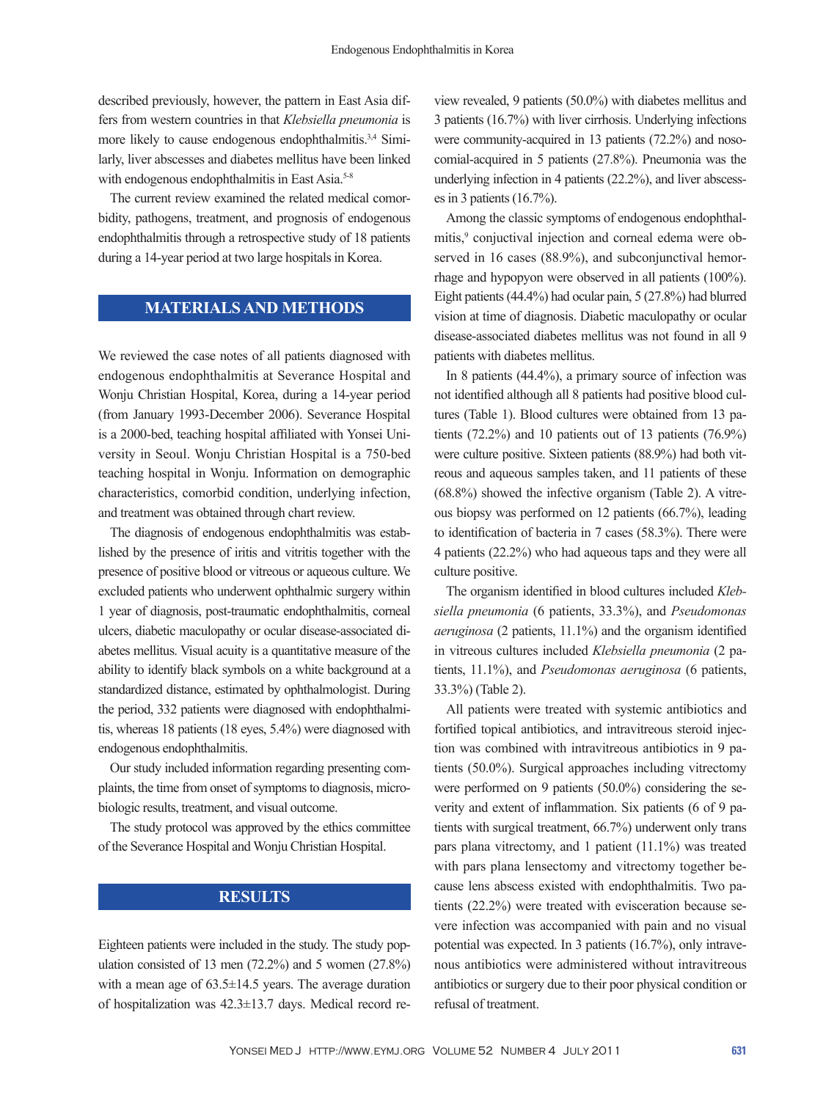described previously, however, the pattern in East Asia differs from western countries in that *Klebsiella pneumonia* is more likely to cause endogenous endophthalmitis.3,4 Similarly, liver abscesses and diabetes mellitus have been linked with endogenous endophthalmitis in East Asia.<sup>5-8</sup>

The current review examined the related medical comorbidity, pathogens, treatment, and prognosis of endogenous endophthalmitis through a retrospective study of 18 patients during a 14-year period at two large hospitals in Korea.

# **MATERIALS AND METHODS**

We reviewed the case notes of all patients diagnosed with endogenous endophthalmitis at Severance Hospital and Wonju Christian Hospital, Korea, during a 14-year period (from January 1993-December 2006). Severance Hospital is a 2000-bed, teaching hospital affiliated with Yonsei University in Seoul. Wonju Christian Hospital is a 750-bed teaching hospital in Wonju. Information on demographic characteristics, comorbid condition, underlying infection, and treatment was obtained through chart review.

The diagnosis of endogenous endophthalmitis was established by the presence of iritis and vitritis together with the presence of positive blood or vitreous or aqueous culture. We excluded patients who underwent ophthalmic surgery within 1 year of diagnosis, post-traumatic endophthalmitis, corneal ulcers, diabetic maculopathy or ocular disease-associated diabetes mellitus. Visual acuity is a quantitative measure of the ability to identify black symbols on a white background at a standardized distance, estimated by ophthalmologist. During the period, 332 patients were diagnosed with endophthalmitis, whereas 18 patients (18 eyes, 5.4%) were diagnosed with endogenous endophthalmitis.

Our study included information regarding presenting complaints, the time from onset of symptoms to diagnosis, microbiologic results, treatment, and visual outcome.

The study protocol was approved by the ethics committee of the Severance Hospital and Wonju Christian Hospital.

# **RESULTS**

Eighteen patients were included in the study. The study population consisted of 13 men (72.2%) and 5 women (27.8%) with a mean age of  $63.5 \pm 14.5$  years. The average duration of hospitalization was 42.3±13.7 days. Medical record review revealed, 9 patients (50.0%) with diabetes mellitus and 3 patients (16.7%) with liver cirrhosis. Underlying infections were community-acquired in 13 patients (72.2%) and nosocomial-acquired in 5 patients (27.8%). Pneumonia was the underlying infection in 4 patients (22.2%), and liver abscesses in 3 patients  $(16.7\%)$ .

Among the classic symptoms of endogenous endophthalmitis,<sup>9</sup> conjuctival injection and corneal edema were observed in 16 cases (88.9%), and subconjunctival hemorrhage and hypopyon were observed in all patients (100%). Eight patients (44.4%) had ocular pain, 5 (27.8%) had blurred vision at time of diagnosis. Diabetic maculopathy or ocular disease-associated diabetes mellitus was not found in all 9 patients with diabetes mellitus.

In 8 patients (44.4%), a primary source of infection was not identified although all 8 patients had positive blood cultures (Table 1). Blood cultures were obtained from 13 patients (72.2%) and 10 patients out of 13 patients (76.9%) were culture positive. Sixteen patients (88.9%) had both vitreous and aqueous samples taken, and 11 patients of these (68.8%) showed the infective organism (Table 2). A vitreous biopsy was performed on 12 patients (66.7%), leading to identification of bacteria in 7 cases (58.3%). There were 4 patients (22.2%) who had aqueous taps and they were all culture positive.

The organism identified in blood cultures included *Klebsiella pneumonia* (6 patients, 33.3%), and *Pseudomonas aeruginosa* (2 patients, 11.1%) and the organism identified in vitreous cultures included *Klebsiella pneumonia* (2 patients, 11.1%), and *Pseudomonas aeruginosa* (6 patients, 33.3%) (Table 2).

All patients were treated with systemic antibiotics and fortified topical antibiotics, and intravitreous steroid injection was combined with intravitreous antibiotics in 9 patients (50.0%). Surgical approaches including vitrectomy were performed on 9 patients (50.0%) considering the severity and extent of inflammation. Six patients (6 of 9 patients with surgical treatment, 66.7%) underwent only trans pars plana vitrectomy, and 1 patient (11.1%) was treated with pars plana lensectomy and vitrectomy together because lens abscess existed with endophthalmitis. Two patients (22.2%) were treated with evisceration because severe infection was accompanied with pain and no visual potential was expected. In 3 patients (16.7%), only intravenous antibiotics were administered without intravitreous antibiotics or surgery due to their poor physical condition or refusal of treatment.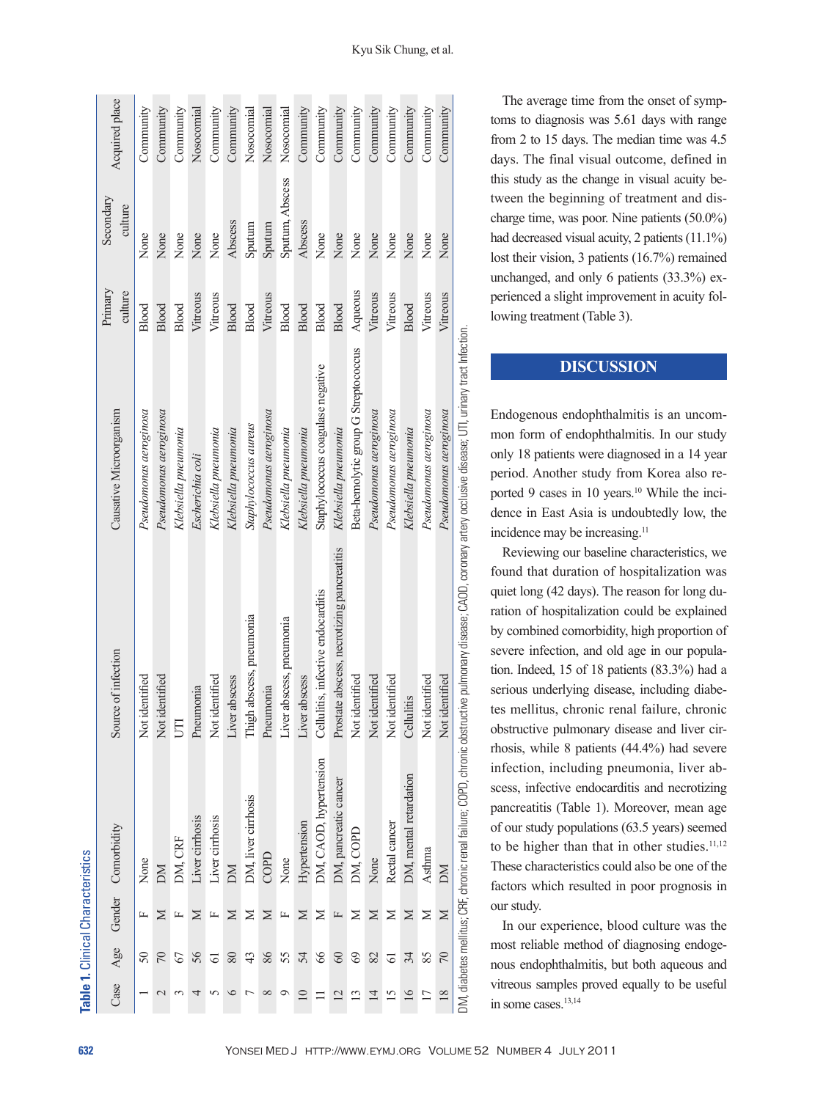|                 |                 | Table 1. Clinical Characteristics |                        |                                                                                                                                                                        |                                      |                    |                      |                |
|-----------------|-----------------|-----------------------------------|------------------------|------------------------------------------------------------------------------------------------------------------------------------------------------------------------|--------------------------------------|--------------------|----------------------|----------------|
| Case            | Age             |                                   | Gender Comorbidity     | Source of infection                                                                                                                                                    | Causative Microorganism              | Primary<br>culture | Secondary<br>culture | Acquired place |
|                 | $\overline{50}$ |                                   | None                   | Not identified                                                                                                                                                         | Pseudomonas aeroginosa               | Blood              | None                 | Community      |
|                 | $\approx$       | ⊠                                 | M                      | Not identified                                                                                                                                                         | Pseudomonas aeroginosa               | Blood              | None                 | Community      |
|                 | 67              |                                   | DM, CRF                | Ë                                                                                                                                                                      | Klebsiella pneumonia                 | Blood              | None                 | Community      |
|                 | 56              | ⊠                                 | Liver cirrhosis        | Pneumonia                                                                                                                                                              | Escherichia coli                     | Vitreous           | None                 | Nosocomial     |
|                 | 5               |                                   | Liver cirrhosis        | Not identified                                                                                                                                                         | Klebsiella pneumonia                 | Vitreous           | None                 | Community      |
|                 | 80              | ⋝                                 | DМ                     | abscess<br>Liver                                                                                                                                                       | Klebsiella pneumonia                 | Blood              | Abscess              | Community      |
|                 | 43              | Z                                 | DM, liver cirrhosis    | Thigh abscess, pneumonia                                                                                                                                               | Staphylococcus aureus                | Blood              | Sputum               | Nosocomial     |
|                 | 86              | ⊠                                 | COPD                   | Pneumonia                                                                                                                                                              | Pseudomonas aeroginosa               | Vitreous           | Sputum               | Nosocomial     |
| ⌒               | 55              |                                   | None                   | Liver abscess, pneumonia                                                                                                                                               | Klebsiella pneumonia                 | Blood              | Sputum, Abscess      | Nosocomial     |
|                 | 54              | ⊠                                 | Hypertension           | abscess<br>Liver                                                                                                                                                       | Klebsiella pneumonia                 | Blood              | Abscess              | Community      |
|                 | $\delta$        | ⋝                                 | DM, CAOD, hypertension | Cellulitis, infective endocarditis                                                                                                                                     | Staphylococcus coagulase negative    | Blood              | None                 | Community      |
| $\overline{2}$  | $\otimes$       |                                   | DM, pancreatic cancer  | Prostate abscess, necrotizing pancreatitis                                                                                                                             | Klebsiella pneumonia                 | Blood              | None                 | Community      |
| ≌               | $\odot$         | ⋝                                 | DM, COPD               | Not identified                                                                                                                                                         | Beta-hemolytic group G Streptococcus | Aqueous            | None                 | Community      |
| $\overline{4}$  | 82              | $\geq$                            | None                   | Not identified                                                                                                                                                         | Pseudomonas aeroginosa               | Vitreous           | None                 | Community      |
| $\overline{15}$ | 5               | Z                                 | Rectal cancer          | Not identified                                                                                                                                                         | Pseudomonas aeroginosa               | Vitreous           | None                 | Community      |
| 16              | 34              | $\geq$                            | DM, mental retardation | Cellulitis                                                                                                                                                             | Klebsiella pneumonia                 | Blood              | None                 | Community      |
| $\overline{17}$ | 85              | $\geq$                            | Asthma                 | Not identified                                                                                                                                                         | Pseudomonas aeroginosa               | Vitreous           | None                 | Community      |
| $\frac{8}{2}$   | $\mathcal{R}$   | $\geq$                            | M                      | Not identified                                                                                                                                                         | Pseudomonas aeroginosa               | Vitreous           | None                 | Community      |
|                 |                 |                                   |                        | DM, diabetes mellitus; CRF, chronic renal failure; COPD, chronic obstructive pulmonary disease; CAOD, coronary artery occlusive disease; UTI, urinary tract Infection. |                                      |                    |                      |                |

Kyu Sik Chung, et al.

The average time from the onset of symptoms to diagnosis was 5.61 days with range from 2 to 15 days. The median time was 4.5 days. The final visual outcome, defined in this study as the change in visual acuity between the beginning of treatment and discharge time, was poor. Nine patients (50.0%) had decreased visual acuity, 2 patients (11.1%) lost their vision, 3 patients (16.7%) remained unchanged, and only 6 patients (33.3%) experienced a slight improvement in acuity following treatment (Table 3).

## **DISCUSSION**

Endogenous endophthalmitis is an uncommon form of endophthalmitis. In our study only 18 patients were diagnosed in a 14 year period. Another study from Korea also reported 9 cases in 10 years.<sup>10</sup> While the incidence in East Asia is undoubtedly low, the incidence may be increasing.<sup>11</sup>

Reviewing our baseline characteristics, we found that duration of hospitalization was quiet long (42 days). The reason for long duration of hospitalization could be explained by combined comorbidity, high proportion of severe infection, and old age in our population. Indeed, 15 of 18 patients (83.3%) had a serious underlying disease, including diabetes mellitus, chronic renal failure, chronic obstructive pulmonary disease and liver cirrhosis, while 8 patients (44.4%) had severe infection, including pneumonia, liver abscess, infective endocarditis and necrotizing pancreatitis (Table 1). Moreover, mean age of our study populations (63.5 years) seemed to be higher than that in other studies.<sup>11,12</sup> These characteristics could also be one of the factors which resulted in poor prognosis in our study.

In our experience, blood culture was the most reliable method of diagnosing endogenous endophthalmitis, but both aqueous and vitreous samples proved equally to be useful in some cases.13,14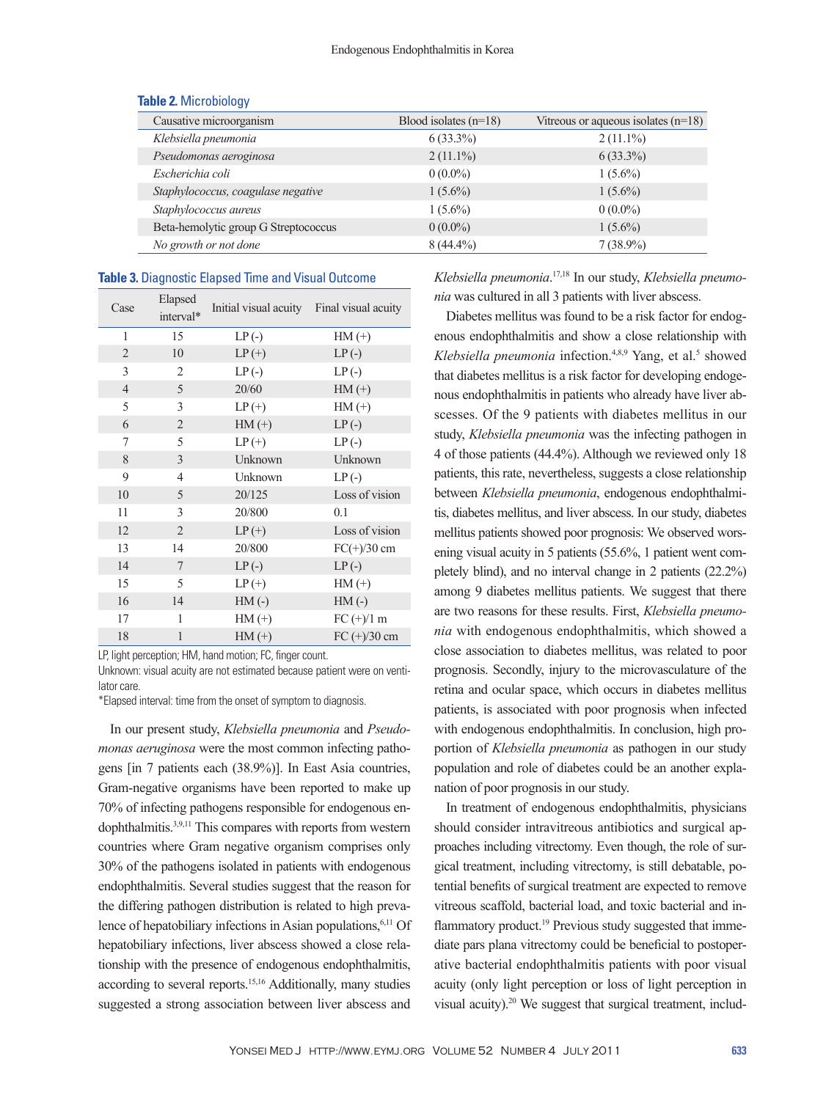| Causative microorganism              | Blood isolates $(n=18)$ | Vitreous or aqueous isolates $(n=18)$ |
|--------------------------------------|-------------------------|---------------------------------------|
| Klebsiella pneumonia                 | $6(33.3\%)$             | $2(11.1\%)$                           |
| Pseudomonas aeroginosa               | $2(11.1\%)$             | $6(33.3\%)$                           |
| Escherichia coli                     | $0(0.0\%)$              | $1(5.6\%)$                            |
| Staphylococcus, coagulase negative   | $1(5.6\%)$              | $1(5.6\%)$                            |
| Staphylococcus aureus                | $1(5.6\%)$              | $0(0.0\%)$                            |
| Beta-hemolytic group G Streptococcus | $0(0.0\%)$              | $1(5.6\%)$                            |
| No growth or not done                | $8(44.4\%)$             | $7(38.9\%)$                           |

#### **Table 2.** Microbiology

#### **Table 3.** Diagnostic Elapsed Time and Visual Outcome

| Case           | Elapsed<br>interval* | Initial visual acuity | Final visual acuity |
|----------------|----------------------|-----------------------|---------------------|
| 1              | 15                   | LP(                   | $HM(+)$             |
| $\overline{2}$ | 10                   | $LP(+)$               | $LP(-)$             |
| 3              | 2                    | $LP(-)$               | $LP(-)$             |
| $\overline{4}$ | 5                    | 20/60                 | $HM(+)$             |
| 5              | 3                    | $LP (+)$              | $HM (+)$            |
| 6              | $\overline{2}$       | $HM (+)$              | $LP(-)$             |
| 7              | 5                    | $LP(+)$               | $LP(-)$             |
| 8              | 3                    | Unknown               | Unknown             |
| 9              | 4                    | Unknown               | $LP(-)$             |
| 10             | 5                    | 20/125                | Loss of vision      |
| 11             | 3                    | 20/800                | 0.1                 |
| 12             | $\overline{2}$       | $LP(+)$               | Loss of vision      |
| 13             | 14                   | 20/800                | $FC(+)/30$ cm       |
| 14             | 7                    | $LP(-)$               | $LP(-)$             |
| 15             | 5                    | $LP(+)$               | $HM(+)$             |
| 16             | 14                   | $HM(-)$               | $HM(-)$             |
| 17             | 1                    | $HM(+)$               | $FC (+)/1 m$        |
| 18             | 1                    | $HM (+)$              | $FC (+)/30 cm$      |

LP, light perception; HM, hand motion; FC, finger count.

Unknown: visual acuity are not estimated because patient were on ventilator care.

\*Elapsed interval: time from the onset of symptom to diagnosis.

In our present study, *Klebsiella pneumonia* and *Pseudomonas aeruginosa* were the most common infecting pathogens [in 7 patients each (38.9%)]. In East Asia countries, Gram-negative organisms have been reported to make up 70% of infecting pathogens responsible for endogenous endophthalmitis.3,9,11 This compares with reports from western countries where Gram negative organism comprises only 30% of the pathogens isolated in patients with endogenous endophthalmitis. Several studies suggest that the reason for the differing pathogen distribution is related to high prevalence of hepatobiliary infections in Asian populations,<sup>6,11</sup> Of hepatobiliary infections, liver abscess showed a close relationship with the presence of endogenous endophthalmitis, according to several reports.15,16 Additionally, many studies suggested a strong association between liver abscess and

*Klebsiella pneumonia*. 17,18 In our study, *Klebsiella pneumonia* was cultured in all 3 patients with liver abscess.

Diabetes mellitus was found to be a risk factor for endogenous endophthalmitis and show a close relationship with Klebsiella pneumonia infection.<sup>4,8,9</sup> Yang, et al.<sup>5</sup> showed that diabetes mellitus is a risk factor for developing endogenous endophthalmitis in patients who already have liver abscesses. Of the 9 patients with diabetes mellitus in our study, *Klebsiella pneumonia* was the infecting pathogen in 4 of those patients (44.4%). Although we reviewed only 18 patients, this rate, nevertheless, suggests a close relationship between *Klebsiella pneumonia*, endogenous endophthalmitis, diabetes mellitus, and liver abscess. In our study, diabetes mellitus patients showed poor prognosis: We observed worsening visual acuity in 5 patients (55.6%, 1 patient went completely blind), and no interval change in 2 patients (22.2%) among 9 diabetes mellitus patients. We suggest that there are two reasons for these results. First, *Klebsiella pneumonia* with endogenous endophthalmitis, which showed a close association to diabetes mellitus, was related to poor prognosis. Secondly, injury to the microvasculature of the retina and ocular space, which occurs in diabetes mellitus patients, is associated with poor prognosis when infected with endogenous endophthalmitis. In conclusion, high proportion of *Klebsiella pneumonia* as pathogen in our study population and role of diabetes could be an another explanation of poor prognosis in our study.

In treatment of endogenous endophthalmitis, physicians should consider intravitreous antibiotics and surgical approaches including vitrectomy. Even though, the role of surgical treatment, including vitrectomy, is still debatable, potential benefits of surgical treatment are expected to remove vitreous scaffold, bacterial load, and toxic bacterial and inflammatory product.<sup>19</sup> Previous study suggested that immediate pars plana vitrectomy could be beneficial to postoperative bacterial endophthalmitis patients with poor visual acuity (only light perception or loss of light perception in visual acuity).<sup>20</sup> We suggest that surgical treatment, includ